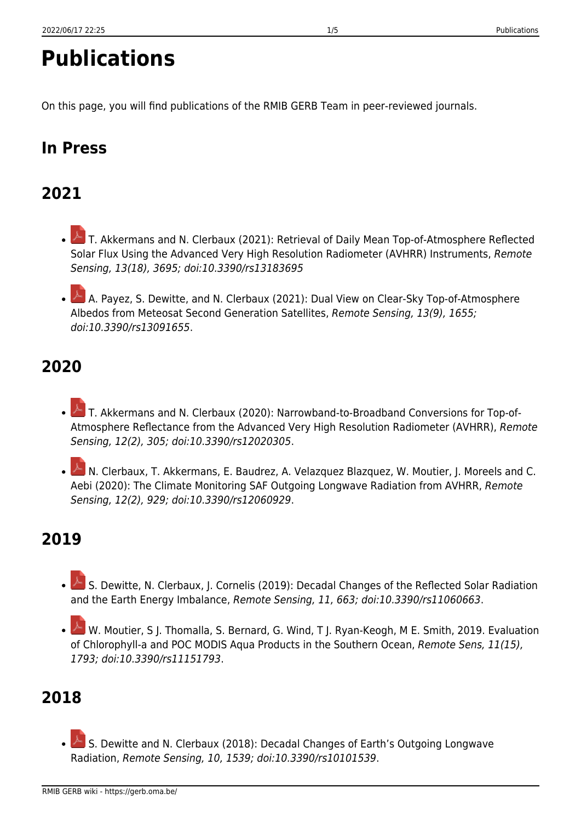# **Publications**

On this page, you will find publications of the RMIB GERB Team in peer-reviewed journals.

## **In Press**

# **2021**

- $\triangle$ T. Akkermans and N. Clerbaux (2021): Retrieval of Daily Mean Top-of-Atmosphere Reflected Solar Flux Using the Advanced Very High Resolution Radiometer (AVHRR) Instruments, Remote Sensing, 13(18), 3695; doi:10.3390/rs13183695
- A. Payez, S. Dewitte, and N. Clerbaux (2021): Dual View on Clear-Sky Top-of-Atmosphere Albedos from Meteosat Second Generation Satellites, Remote Sensing, 13(9), 1655; doi:10.3390/rs13091655.

# **2020**

- $\blacktriangle$ T. Akkermans and N. Clerbaux (2020): Narrowband-to-Broadband Conversions for Top-of-Atmosphere Reflectance from the Advanced Very High Resolution Radiometer (AVHRR), Remote Sensing, 12(2), 305; doi:10.3390/rs12020305.
- N. Clerbaux, T. Akkermans, E. Baudrez, A. Velazquez Blazquez, W. Moutier, J. Moreels and C. Aebi (2020): The Climate Monitoring SAF Outgoing Longwave Radiation from AVHRR, Remote Sensing, 12(2), 929; doi:10.3390/rs12060929.

## **2019**

- $\geq$ S. Dewitte, N. Clerbaux, J. Cornelis (2019): Decadal Changes of the Reflected Solar Radiation and the Earth Energy Imbalance, Remote Sensing, 11, 663; doi:10.3390/rs11060663.
- W.Moutier, S J. Thomalla, S. Bernard, G. Wind, T J. Ryan-Keogh, M E. Smith, 2019. Evaluation of Chlorophyll-a and POC MODIS Aqua Products in the Southern Ocean, Remote Sens, 11(15), 1793; doi:10.3390/rs11151793.

## **2018**

S. Dewitte and N. Clerbaux (2018): Decadal Changes of Earth's Outgoing Longwave Radiation, Remote Sensing, 10, 1539; doi:10.3390/rs10101539.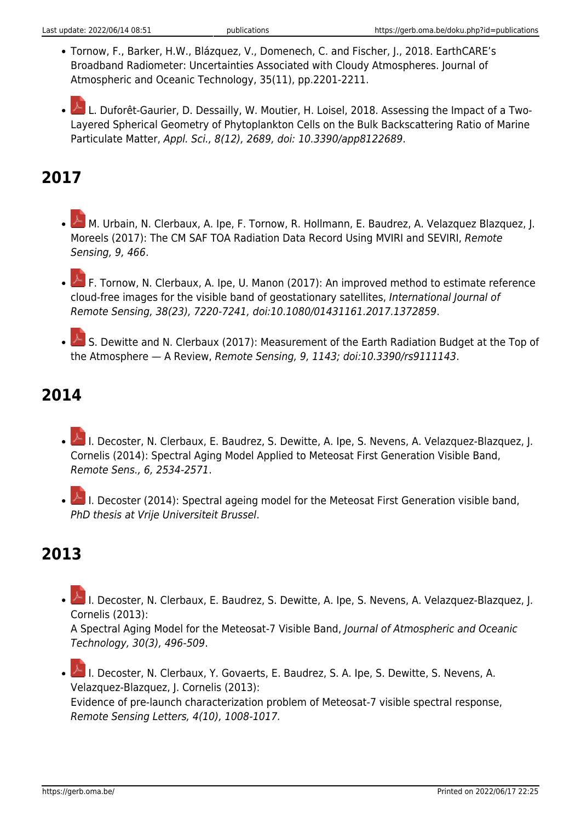- Tornow, F., Barker, H.W., Blázquez, V., Domenech, C. and Fischer, J., 2018. EarthCARE's Broadband Radiometer: Uncertainties Associated with Cloudy Atmospheres. Journal of Atmospheric and Oceanic Technology, 35(11), pp.2201-2211.
- L. Duforêt-Gaurier, D. Dessailly, W. Moutier, H. Loisel, 2018. Assessing the Impact of a Two-Layered Spherical Geometry of Phytoplankton Cells on the Bulk Backscattering Ratio of Marine Particulate Matter, Appl. Sci., 8(12), 2689, doi: 10.3390/app8122689.

# **2017**

- M.Urbain, N. Clerbaux, A. Ipe, F. Tornow, R. Hollmann, E. Baudrez, A. Velazquez Blazquez, J. Moreels (2017): The CM SAF TOA Radiation Data Record Using MVIRI and SEVIRI, Remote Sensing, 9, 466.
- F.Tornow, N. Clerbaux, A. Ipe, U. Manon (2017): An improved method to estimate reference cloud-free images for the visible band of geostationary satellites, International Journal of Remote Sensing, 38(23), 7220-7241, doi:10.1080/01431161.2017.1372859.
- S. Dewitte and N. Clerbaux (2017): Measurement of the Earth Radiation Budget at the Top of the Atmosphere — A Review, Remote Sensing, 9, 1143; doi:10.3390/rs9111143.

#### **2014**

- L.Decoster, N. Clerbaux, E. Baudrez, S. Dewitte, A. Ipe, S. Nevens, A. Velazquez-Blazquez, J. Cornelis (2014): Spectral Aging Model Applied to Meteosat First Generation Visible Band, Remote Sens., 6, 2534-2571.
- **A.**I. Decoster (2014): Spectral ageing model for the Meteosat First Generation visible band, PhD thesis at Vrije Universiteit Brussel.

## **2013**

I. Decoster, N. Clerbaux, E. Baudrez, S. Dewitte, A. Ipe, S. Nevens, A. Velazquez-Blazquez, J. Cornelis (2013):

A Spectral Aging Model for the Meteosat-7 Visible Band, Journal of Atmospheric and Oceanic Technology, 30(3), 496-509.

**A.**I. Decoster, N. Clerbaux, Y. Govaerts, E. Baudrez, S. A. Ipe, S. Dewitte, S. Nevens, A. Velazquez-Blazquez, J. Cornelis (2013): Evidence of pre-launch characterization problem of Meteosat-7 visible spectral response, Remote Sensing Letters, 4(10), 1008-1017.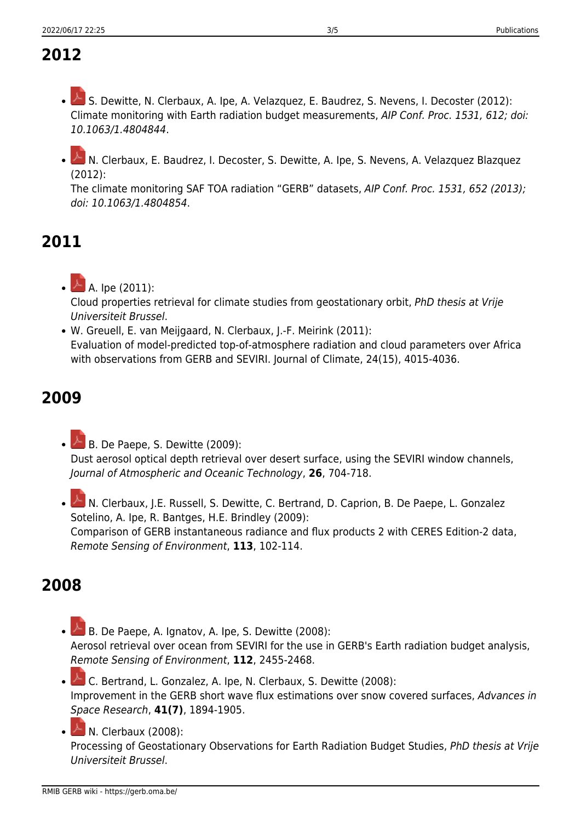# **2012**

- $\triangle$ S. Dewitte, N. Clerbaux, A. Ipe, A. Velazquez, E. Baudrez, S. Nevens, I. Decoster (2012): Climate monitoring with Earth radiation budget measurements, AIP Conf. Proc. 1531, 612; doi: 10.1063/1.4804844.
- N. Clerbaux, E. Baudrez, I. Decoster, S. Dewitte, A. Ipe, S. Nevens, A. Velazquez Blazquez (2012):

The climate monitoring SAF TOA radiation "GERB" datasets, AIP Conf. Proc. 1531, 652 (2013); doi: 10.1063/1.4804854.

## **2011**

A. Ipe (2011): Cloud properties retrieval for climate studies from geostationary orbit, PhD thesis at Vrije Universiteit Brussel.

W. Greuell, E. van Meijgaard, N. Clerbaux, J.-F. Meirink (2011): Evaluation of model-predicted top-of-atmosphere radiation and cloud parameters over Africa with observations from GERB and SEVIRI. Journal of Climate, 24(15), 4015-4036.

# **2009**

B. De Paepe, S. Dewitte (2009): Dust aerosol optical depth retrieval over desert surface, using the SEVIRI window channels, Journal of Atmospheric and Oceanic Technology, **26**, 704-718.

 $\geq$ N. Clerbaux, J.E. Russell, S. Dewitte, C. Bertrand, D. Caprion, B. De Paepe, L. Gonzalez Sotelino, A. Ipe, R. Bantges, H.E. Brindley (2009): Comparison of GERB instantaneous radiance and flux products 2 with CERES Edition-2 data, Remote Sensing of Environment, **113**, 102-114.

## **2008**

 $\triangle$ B. De Paepe, A. Ignatov, A. Ipe, S. Dewitte (2008): Aerosol retrieval over ocean from SEVIRI for the use in GERB's Earth radiation budget analysis, Remote Sensing of Environment, **112**, 2455-2468.

C. Bertrand, L. Gonzalez, A. Ipe, N. Clerbaux, S. Dewitte (2008): Improvement in the GERB short wave flux estimations over snow covered surfaces, Advances in Space Research, **41(7)**, 1894-1905.

N. Clerbaux (2008):

Processing of Geostationary Observations for Earth Radiation Budget Studies, PhD thesis at Vrije Universiteit Brussel.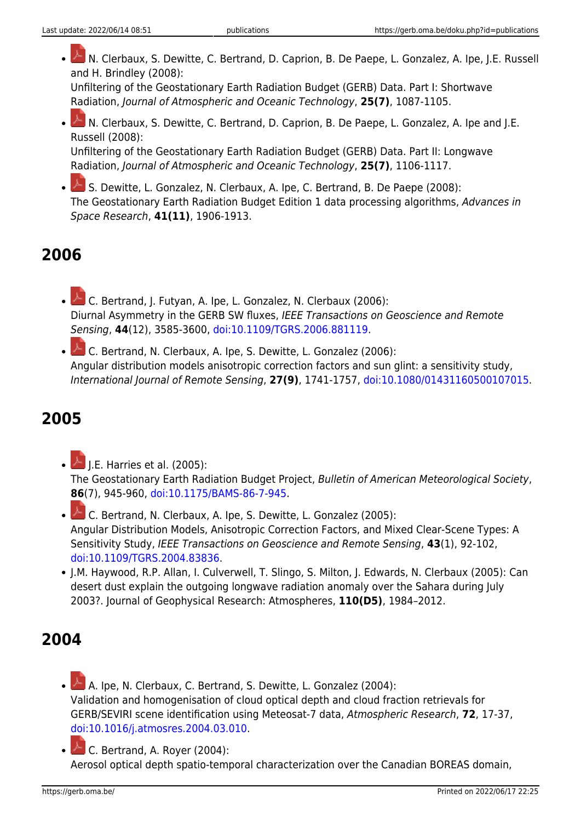N. Clerbaux, S. Dewitte, C. Bertrand, D. Caprion, B. De Paepe, L. Gonzalez, A. Ipe, J.E. Russell and H. Brindley (2008):

Unfiltering of the Geostationary Earth Radiation Budget (GERB) Data. Part I: Shortwave Radiation, Journal of Atmospheric and Oceanic Technology, **25(7)**, 1087-1105.

N. Clerbaux, S. Dewitte, C. Bertrand, D. Caprion, B. De Paepe, L. Gonzalez, A. Ipe and J.E. Russell (2008):

Unfiltering of the Geostationary Earth Radiation Budget (GERB) Data. Part II: Longwave Radiation, Journal of Atmospheric and Oceanic Technology, **25(7)**, 1106-1117.

S. Dewitte, L. Gonzalez, N. Clerbaux, A. Ipe, C. Bertrand, B. De Paepe (2008): The Geostationary Earth Radiation Budget Edition 1 data processing algorithms, Advances in Space Research, **41(11)**, 1906-1913.

## **2006**

 $\triangle$ C. Bertrand, J. Futyan, A. Ipe, L. Gonzalez, N. Clerbaux (2006): Diurnal Asymmetry in the GERB SW fluxes, IEEE Transactions on Geoscience and Remote Sensing, **44**(12), 3585-3600, [doi:10.1109/TGRS.2006.881119](http://dx.doi.org/doi:10.1109/TGRS.2006.881119).

C. Bertrand, N. Clerbaux, A. Ipe, S. Dewitte, L. Gonzalez (2006): Angular distribution models anisotropic correction factors and sun glint: a sensitivity study, International Journal of Remote Sensing, **27(9)**, 1741-1757, [doi:10.1080/01431160500107015](http://dx.doi.org/doi:10.1080/01431160500107015).

## **2005**

- J.E. Harries et al. (2005): The Geostationary Earth Radiation Budget Project, Bulletin of American Meteorological Society, **86**(7), 945-960, [doi:10.1175/BAMS-86-7-945.](http://dx.doi.org/doi:10.1175/BAMS-86-7-945)
- C. Bertrand, N. Clerbaux, A. Ipe, S. Dewitte, L. Gonzalez (2005): Angular Distribution Models, Anisotropic Correction Factors, and Mixed Clear-Scene Types: A Sensitivity Study, IEEE Transactions on Geoscience and Remote Sensing, **43**(1), 92-102, [doi:10.1109/TGRS.2004.83836.](http://dx.doi.org/doi:10.1109/TGRS.2004.83836)
- J.M. Haywood, R.P. Allan, I. Culverwell, T. Slingo, S. Milton, J. Edwards, N. Clerbaux (2005): Can desert dust explain the outgoing longwave radiation anomaly over the Sahara during July 2003?. Journal of Geophysical Research: Atmospheres, **110(D5)**, 1984–2012.

# **2004**

A. Ipe, N. Clerbaux, C. Bertrand, S. Dewitte, L. Gonzalez (2004): Validation and homogenisation of cloud optical depth and cloud fraction retrievals for GERB/SEVIRI scene identification using Meteosat-7 data, Atmospheric Research, **72**, 17-37, [doi:10.1016/j.atmosres.2004.03.010](http://dx.doi.org/doi:10.1016/j.atmosres.2004.03.010).

C. Bertrand, A. Royer (2004): Aerosol optical depth spatio-temporal characterization over the Canadian BOREAS domain,